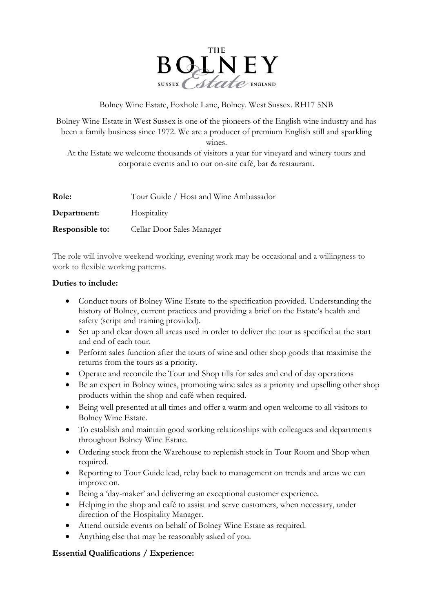

Bolney Wine Estate, Foxhole Lane, Bolney. West Sussex. RH17 5NB

Bolney Wine Estate in West Sussex is one of the pioneers of the English wine industry and has been a family business since 1972. We are a producer of premium English still and sparkling wines.

At the Estate we welcome thousands of visitors a year for vineyard and winery tours and corporate events and to our on-site café, bar & restaurant.

| Role:                  | Tour Guide / Host and Wine Ambassador |
|------------------------|---------------------------------------|
| Department:            | Hospitality                           |
| <b>Responsible to:</b> | Cellar Door Sales Manager             |

The role will involve weekend working, evening work may be occasional and a willingness to work to flexible working patterns.

## **Duties to include:**

- Conduct tours of Bolney Wine Estate to the specification provided. Understanding the history of Bolney, current practices and providing a brief on the Estate's health and safety (script and training provided).
- Set up and clear down all areas used in order to deliver the tour as specified at the start and end of each tour.
- Perform sales function after the tours of wine and other shop goods that maximise the returns from the tours as a priority.
- Operate and reconcile the Tour and Shop tills for sales and end of day operations
- Be an expert in Bolney wines, promoting wine sales as a priority and upselling other shop products within the shop and café when required.
- Being well presented at all times and offer a warm and open welcome to all visitors to Bolney Wine Estate.
- To establish and maintain good working relationships with colleagues and departments throughout Bolney Wine Estate.
- Ordering stock from the Warehouse to replenish stock in Tour Room and Shop when required.
- Reporting to Tour Guide lead, relay back to management on trends and areas we can improve on.
- Being a 'day-maker' and delivering an exceptional customer experience.
- Helping in the shop and café to assist and serve customers, when necessary, under direction of the Hospitality Manager.
- Attend outside events on behalf of Bolney Wine Estate as required.
- Anything else that may be reasonably asked of you.

## **Essential Qualifications / Experience:**